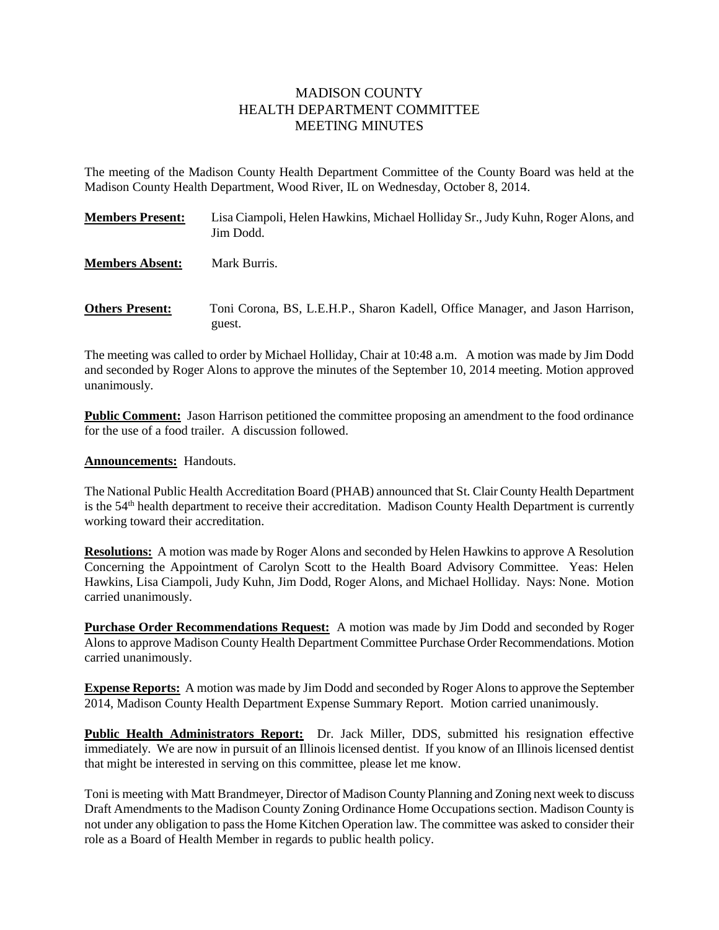## MADISON COUNTY HEALTH DEPARTMENT COMMITTEE MEETING MINUTES

The meeting of the Madison County Health Department Committee of the County Board was held at the Madison County Health Department, Wood River, IL on Wednesday, October 8, 2014.

| <b>Members Present:</b> | Lisa Ciampoli, Helen Hawkins, Michael Holliday Sr., Judy Kuhn, Roger Alons, and<br>Jim Dodd. |
|-------------------------|----------------------------------------------------------------------------------------------|
| <b>Members Absent:</b>  | Mark Burris.                                                                                 |
| <b>Others Present:</b>  | Toni Corona, BS, L.E.H.P., Sharon Kadell, Office Manager, and Jason Harrison,<br>guest.      |

The meeting was called to order by Michael Holliday, Chair at 10:48 a.m. A motion was made by Jim Dodd and seconded by Roger Alons to approve the minutes of the September 10, 2014 meeting. Motion approved unanimously.

**Public Comment:** Jason Harrison petitioned the committee proposing an amendment to the food ordinance for the use of a food trailer. A discussion followed.

## **Announcements:** Handouts.

The National Public Health Accreditation Board (PHAB) announced that St. Clair County Health Department is the 54th health department to receive their accreditation. Madison County Health Department is currently working toward their accreditation.

**Resolutions:** A motion was made by Roger Alons and seconded by Helen Hawkins to approve A Resolution Concerning the Appointment of Carolyn Scott to the Health Board Advisory Committee. Yeas: Helen Hawkins, Lisa Ciampoli, Judy Kuhn, Jim Dodd, Roger Alons, and Michael Holliday. Nays: None. Motion carried unanimously.

**Purchase Order Recommendations Request:** A motion was made by Jim Dodd and seconded by Roger Alons to approve Madison County Health Department Committee Purchase Order Recommendations. Motion carried unanimously.

**Expense Reports:** A motion was made by Jim Dodd and seconded by Roger Alons to approve the September 2014, Madison County Health Department Expense Summary Report. Motion carried unanimously.

**Public Health Administrators Report:** Dr. Jack Miller, DDS, submitted his resignation effective immediately. We are now in pursuit of an Illinois licensed dentist. If you know of an Illinois licensed dentist that might be interested in serving on this committee, please let me know.

Toni is meeting with Matt Brandmeyer, Director of Madison County Planning and Zoning next week to discuss Draft Amendments to the Madison County Zoning Ordinance Home Occupations section. Madison County is not under any obligation to pass the Home Kitchen Operation law. The committee was asked to consider their role as a Board of Health Member in regards to public health policy.